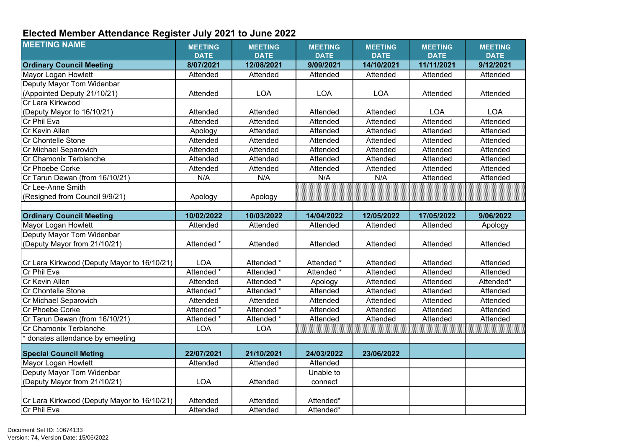## **Elected Member Attendance Register July 2021 to June 2022**

| <b>Ordinary Council Meeting</b><br>8/07/2021<br>12/08/2021<br>9/09/2021<br>14/10/2021<br>11/11/2021<br>9/12/2021<br>Mayor Logan Howlett<br>Attended<br>Attended<br>Attended<br>Attended<br>Attended<br>Attended<br>Deputy Mayor Tom Widenbar<br>(Appointed Deputy 21/10/21)<br><b>LOA</b><br><b>LOA</b><br><b>LOA</b><br>Attended<br>Attended<br>Attended<br>Cr Lara Kirkwood<br>(Deputy Mayor to 16/10/21)<br><b>LOA</b><br><b>LOA</b><br>Attended<br>Attended<br>Attended<br>Attended<br>Cr Phil Eva<br>Attended<br>Attended<br>Attended<br>Attended<br>Attended<br>Attended<br>Cr Kevin Allen<br>Attended<br>Attended<br>Attended<br>Attended<br>Attended<br>Apology<br><b>Cr Chontelle Stone</b><br>Attended<br>Attended<br>Attended<br>Attended<br>Attended<br>Attended<br>Cr Michael Separovich<br>Attended<br>Attended<br>Attended<br>Attended<br>Attended<br>Attended<br>Cr Chamonix Terblanche<br>Attended<br>Attended<br>Attended<br>Attended<br>Attended<br>Attended<br>Cr Phoebe Corke<br>Attended<br>Attended<br>Attended<br>Attended<br>Attended<br>Attended<br>Cr Tarun Dewan (from 16/10/21)<br>Attended<br>N/A<br>N/A<br>N/A<br>N/A<br>Attended<br>Cr Lee-Anne Smith<br>(Resigned from Council 9/9/21)<br>Apology<br>Apology<br><b>Ordinary Council Meeting</b><br>10/02/2022<br>10/03/2022<br>12/05/2022<br>17/05/2022<br>9/06/2022<br>14/04/2022<br>Mayor Logan Howlett<br>Attended<br>Attended<br>Attended<br>Attended<br>Attended<br>Apology<br>Deputy Mayor Tom Widenbar<br>(Deputy Mayor from 21/10/21)<br>Attended *<br>Attended<br>Attended<br>Attended<br>Attended<br>Attended<br><b>LOA</b><br>Attended *<br>Attended<br>Cr Lara Kirkwood (Deputy Mayor to 16/10/21)<br>Attended *<br>Attended<br>Attended<br>Cr Phil Eva<br>Attended *<br>Attended *<br>Attended *<br>Attended<br>Attended<br>Attended<br>Cr Kevin Allen<br>Attended<br>Attended *<br>Attended<br>Attended<br>Attended*<br>Apology<br><b>Cr Chontelle Stone</b><br>Attended *<br>Attended *<br>Attended<br>Attended<br>Attended<br>Attended<br>Cr Michael Separovich<br>Attended<br>Attended<br>Attended<br>Attended<br>Attended<br>Attended<br>Attended *<br>Attended *<br>Cr Phoebe Corke<br>Attended<br>Attended<br>Attended<br>Attended<br>Cr Tarun Dewan (from 16/10/21)<br>Attended *<br>Attended *<br>Attended<br>Attended<br>Attended<br>Attended<br><b>LOA</b><br><b>LOA</b><br>Cr Chamonix Terblanche<br>donates attendance by emeeting<br>22/07/2021<br>21/10/2021<br>24/03/2022<br>23/06/2022<br><b>Special Council Meting</b><br>Mayor Logan Howlett<br>Attended<br>Attended<br>Attended<br>Deputy Mayor Tom Widenbar<br>Unable to<br>(Deputy Mayor from 21/10/21)<br><b>LOA</b><br>Attended<br>connect<br>Cr Lara Kirkwood (Deputy Mayor to 16/10/21)<br>Attended*<br>Attended<br>Attended<br>Cr Phil Eva<br>Attended*<br>Attended<br>Attended | <b>MEETING NAME</b> | <b>MEETING</b><br><b>DATE</b> | <b>MEETING</b><br><b>DATE</b> | <b>MEETING</b><br><b>DATE</b> | <b>MEETING</b><br><b>DATE</b> | <b>MEETING</b><br><b>DATE</b> | <b>MEETING</b><br><b>DATE</b> |
|----------------------------------------------------------------------------------------------------------------------------------------------------------------------------------------------------------------------------------------------------------------------------------------------------------------------------------------------------------------------------------------------------------------------------------------------------------------------------------------------------------------------------------------------------------------------------------------------------------------------------------------------------------------------------------------------------------------------------------------------------------------------------------------------------------------------------------------------------------------------------------------------------------------------------------------------------------------------------------------------------------------------------------------------------------------------------------------------------------------------------------------------------------------------------------------------------------------------------------------------------------------------------------------------------------------------------------------------------------------------------------------------------------------------------------------------------------------------------------------------------------------------------------------------------------------------------------------------------------------------------------------------------------------------------------------------------------------------------------------------------------------------------------------------------------------------------------------------------------------------------------------------------------------------------------------------------------------------------------------------------------------------------------------------------------------------------------------------------------------------------------------------------------------------------------------------------------------------------------------------------------------------------------------------------------------------------------------------------------------------------------------------------------------------------------------------------------------------------------------------------------------------------------------------------------------------------------------------------------------------------------------------------------------------------------------------------------------------------------------------------------------------------------------------------------------------------------------------------------|---------------------|-------------------------------|-------------------------------|-------------------------------|-------------------------------|-------------------------------|-------------------------------|
|                                                                                                                                                                                                                                                                                                                                                                                                                                                                                                                                                                                                                                                                                                                                                                                                                                                                                                                                                                                                                                                                                                                                                                                                                                                                                                                                                                                                                                                                                                                                                                                                                                                                                                                                                                                                                                                                                                                                                                                                                                                                                                                                                                                                                                                                                                                                                                                                                                                                                                                                                                                                                                                                                                                                                                                                                                                          |                     |                               |                               |                               |                               |                               |                               |
|                                                                                                                                                                                                                                                                                                                                                                                                                                                                                                                                                                                                                                                                                                                                                                                                                                                                                                                                                                                                                                                                                                                                                                                                                                                                                                                                                                                                                                                                                                                                                                                                                                                                                                                                                                                                                                                                                                                                                                                                                                                                                                                                                                                                                                                                                                                                                                                                                                                                                                                                                                                                                                                                                                                                                                                                                                                          |                     |                               |                               |                               |                               |                               |                               |
|                                                                                                                                                                                                                                                                                                                                                                                                                                                                                                                                                                                                                                                                                                                                                                                                                                                                                                                                                                                                                                                                                                                                                                                                                                                                                                                                                                                                                                                                                                                                                                                                                                                                                                                                                                                                                                                                                                                                                                                                                                                                                                                                                                                                                                                                                                                                                                                                                                                                                                                                                                                                                                                                                                                                                                                                                                                          |                     |                               |                               |                               |                               |                               |                               |
|                                                                                                                                                                                                                                                                                                                                                                                                                                                                                                                                                                                                                                                                                                                                                                                                                                                                                                                                                                                                                                                                                                                                                                                                                                                                                                                                                                                                                                                                                                                                                                                                                                                                                                                                                                                                                                                                                                                                                                                                                                                                                                                                                                                                                                                                                                                                                                                                                                                                                                                                                                                                                                                                                                                                                                                                                                                          |                     |                               |                               |                               |                               |                               |                               |
|                                                                                                                                                                                                                                                                                                                                                                                                                                                                                                                                                                                                                                                                                                                                                                                                                                                                                                                                                                                                                                                                                                                                                                                                                                                                                                                                                                                                                                                                                                                                                                                                                                                                                                                                                                                                                                                                                                                                                                                                                                                                                                                                                                                                                                                                                                                                                                                                                                                                                                                                                                                                                                                                                                                                                                                                                                                          |                     |                               |                               |                               |                               |                               |                               |
|                                                                                                                                                                                                                                                                                                                                                                                                                                                                                                                                                                                                                                                                                                                                                                                                                                                                                                                                                                                                                                                                                                                                                                                                                                                                                                                                                                                                                                                                                                                                                                                                                                                                                                                                                                                                                                                                                                                                                                                                                                                                                                                                                                                                                                                                                                                                                                                                                                                                                                                                                                                                                                                                                                                                                                                                                                                          |                     |                               |                               |                               |                               |                               |                               |
|                                                                                                                                                                                                                                                                                                                                                                                                                                                                                                                                                                                                                                                                                                                                                                                                                                                                                                                                                                                                                                                                                                                                                                                                                                                                                                                                                                                                                                                                                                                                                                                                                                                                                                                                                                                                                                                                                                                                                                                                                                                                                                                                                                                                                                                                                                                                                                                                                                                                                                                                                                                                                                                                                                                                                                                                                                                          |                     |                               |                               |                               |                               |                               |                               |
|                                                                                                                                                                                                                                                                                                                                                                                                                                                                                                                                                                                                                                                                                                                                                                                                                                                                                                                                                                                                                                                                                                                                                                                                                                                                                                                                                                                                                                                                                                                                                                                                                                                                                                                                                                                                                                                                                                                                                                                                                                                                                                                                                                                                                                                                                                                                                                                                                                                                                                                                                                                                                                                                                                                                                                                                                                                          |                     |                               |                               |                               |                               |                               |                               |
|                                                                                                                                                                                                                                                                                                                                                                                                                                                                                                                                                                                                                                                                                                                                                                                                                                                                                                                                                                                                                                                                                                                                                                                                                                                                                                                                                                                                                                                                                                                                                                                                                                                                                                                                                                                                                                                                                                                                                                                                                                                                                                                                                                                                                                                                                                                                                                                                                                                                                                                                                                                                                                                                                                                                                                                                                                                          |                     |                               |                               |                               |                               |                               |                               |
|                                                                                                                                                                                                                                                                                                                                                                                                                                                                                                                                                                                                                                                                                                                                                                                                                                                                                                                                                                                                                                                                                                                                                                                                                                                                                                                                                                                                                                                                                                                                                                                                                                                                                                                                                                                                                                                                                                                                                                                                                                                                                                                                                                                                                                                                                                                                                                                                                                                                                                                                                                                                                                                                                                                                                                                                                                                          |                     |                               |                               |                               |                               |                               |                               |
|                                                                                                                                                                                                                                                                                                                                                                                                                                                                                                                                                                                                                                                                                                                                                                                                                                                                                                                                                                                                                                                                                                                                                                                                                                                                                                                                                                                                                                                                                                                                                                                                                                                                                                                                                                                                                                                                                                                                                                                                                                                                                                                                                                                                                                                                                                                                                                                                                                                                                                                                                                                                                                                                                                                                                                                                                                                          |                     |                               |                               |                               |                               |                               |                               |
|                                                                                                                                                                                                                                                                                                                                                                                                                                                                                                                                                                                                                                                                                                                                                                                                                                                                                                                                                                                                                                                                                                                                                                                                                                                                                                                                                                                                                                                                                                                                                                                                                                                                                                                                                                                                                                                                                                                                                                                                                                                                                                                                                                                                                                                                                                                                                                                                                                                                                                                                                                                                                                                                                                                                                                                                                                                          |                     |                               |                               |                               |                               |                               |                               |
|                                                                                                                                                                                                                                                                                                                                                                                                                                                                                                                                                                                                                                                                                                                                                                                                                                                                                                                                                                                                                                                                                                                                                                                                                                                                                                                                                                                                                                                                                                                                                                                                                                                                                                                                                                                                                                                                                                                                                                                                                                                                                                                                                                                                                                                                                                                                                                                                                                                                                                                                                                                                                                                                                                                                                                                                                                                          |                     |                               |                               |                               |                               |                               |                               |
|                                                                                                                                                                                                                                                                                                                                                                                                                                                                                                                                                                                                                                                                                                                                                                                                                                                                                                                                                                                                                                                                                                                                                                                                                                                                                                                                                                                                                                                                                                                                                                                                                                                                                                                                                                                                                                                                                                                                                                                                                                                                                                                                                                                                                                                                                                                                                                                                                                                                                                                                                                                                                                                                                                                                                                                                                                                          |                     |                               |                               |                               |                               |                               |                               |
|                                                                                                                                                                                                                                                                                                                                                                                                                                                                                                                                                                                                                                                                                                                                                                                                                                                                                                                                                                                                                                                                                                                                                                                                                                                                                                                                                                                                                                                                                                                                                                                                                                                                                                                                                                                                                                                                                                                                                                                                                                                                                                                                                                                                                                                                                                                                                                                                                                                                                                                                                                                                                                                                                                                                                                                                                                                          |                     |                               |                               |                               |                               |                               |                               |
|                                                                                                                                                                                                                                                                                                                                                                                                                                                                                                                                                                                                                                                                                                                                                                                                                                                                                                                                                                                                                                                                                                                                                                                                                                                                                                                                                                                                                                                                                                                                                                                                                                                                                                                                                                                                                                                                                                                                                                                                                                                                                                                                                                                                                                                                                                                                                                                                                                                                                                                                                                                                                                                                                                                                                                                                                                                          |                     |                               |                               |                               |                               |                               |                               |
|                                                                                                                                                                                                                                                                                                                                                                                                                                                                                                                                                                                                                                                                                                                                                                                                                                                                                                                                                                                                                                                                                                                                                                                                                                                                                                                                                                                                                                                                                                                                                                                                                                                                                                                                                                                                                                                                                                                                                                                                                                                                                                                                                                                                                                                                                                                                                                                                                                                                                                                                                                                                                                                                                                                                                                                                                                                          |                     |                               |                               |                               |                               |                               |                               |
|                                                                                                                                                                                                                                                                                                                                                                                                                                                                                                                                                                                                                                                                                                                                                                                                                                                                                                                                                                                                                                                                                                                                                                                                                                                                                                                                                                                                                                                                                                                                                                                                                                                                                                                                                                                                                                                                                                                                                                                                                                                                                                                                                                                                                                                                                                                                                                                                                                                                                                                                                                                                                                                                                                                                                                                                                                                          |                     |                               |                               |                               |                               |                               |                               |
|                                                                                                                                                                                                                                                                                                                                                                                                                                                                                                                                                                                                                                                                                                                                                                                                                                                                                                                                                                                                                                                                                                                                                                                                                                                                                                                                                                                                                                                                                                                                                                                                                                                                                                                                                                                                                                                                                                                                                                                                                                                                                                                                                                                                                                                                                                                                                                                                                                                                                                                                                                                                                                                                                                                                                                                                                                                          |                     |                               |                               |                               |                               |                               |                               |
|                                                                                                                                                                                                                                                                                                                                                                                                                                                                                                                                                                                                                                                                                                                                                                                                                                                                                                                                                                                                                                                                                                                                                                                                                                                                                                                                                                                                                                                                                                                                                                                                                                                                                                                                                                                                                                                                                                                                                                                                                                                                                                                                                                                                                                                                                                                                                                                                                                                                                                                                                                                                                                                                                                                                                                                                                                                          |                     |                               |                               |                               |                               |                               |                               |
|                                                                                                                                                                                                                                                                                                                                                                                                                                                                                                                                                                                                                                                                                                                                                                                                                                                                                                                                                                                                                                                                                                                                                                                                                                                                                                                                                                                                                                                                                                                                                                                                                                                                                                                                                                                                                                                                                                                                                                                                                                                                                                                                                                                                                                                                                                                                                                                                                                                                                                                                                                                                                                                                                                                                                                                                                                                          |                     |                               |                               |                               |                               |                               |                               |
|                                                                                                                                                                                                                                                                                                                                                                                                                                                                                                                                                                                                                                                                                                                                                                                                                                                                                                                                                                                                                                                                                                                                                                                                                                                                                                                                                                                                                                                                                                                                                                                                                                                                                                                                                                                                                                                                                                                                                                                                                                                                                                                                                                                                                                                                                                                                                                                                                                                                                                                                                                                                                                                                                                                                                                                                                                                          |                     |                               |                               |                               |                               |                               |                               |
|                                                                                                                                                                                                                                                                                                                                                                                                                                                                                                                                                                                                                                                                                                                                                                                                                                                                                                                                                                                                                                                                                                                                                                                                                                                                                                                                                                                                                                                                                                                                                                                                                                                                                                                                                                                                                                                                                                                                                                                                                                                                                                                                                                                                                                                                                                                                                                                                                                                                                                                                                                                                                                                                                                                                                                                                                                                          |                     |                               |                               |                               |                               |                               |                               |
|                                                                                                                                                                                                                                                                                                                                                                                                                                                                                                                                                                                                                                                                                                                                                                                                                                                                                                                                                                                                                                                                                                                                                                                                                                                                                                                                                                                                                                                                                                                                                                                                                                                                                                                                                                                                                                                                                                                                                                                                                                                                                                                                                                                                                                                                                                                                                                                                                                                                                                                                                                                                                                                                                                                                                                                                                                                          |                     |                               |                               |                               |                               |                               |                               |
|                                                                                                                                                                                                                                                                                                                                                                                                                                                                                                                                                                                                                                                                                                                                                                                                                                                                                                                                                                                                                                                                                                                                                                                                                                                                                                                                                                                                                                                                                                                                                                                                                                                                                                                                                                                                                                                                                                                                                                                                                                                                                                                                                                                                                                                                                                                                                                                                                                                                                                                                                                                                                                                                                                                                                                                                                                                          |                     |                               |                               |                               |                               |                               |                               |
|                                                                                                                                                                                                                                                                                                                                                                                                                                                                                                                                                                                                                                                                                                                                                                                                                                                                                                                                                                                                                                                                                                                                                                                                                                                                                                                                                                                                                                                                                                                                                                                                                                                                                                                                                                                                                                                                                                                                                                                                                                                                                                                                                                                                                                                                                                                                                                                                                                                                                                                                                                                                                                                                                                                                                                                                                                                          |                     |                               |                               |                               |                               |                               |                               |
|                                                                                                                                                                                                                                                                                                                                                                                                                                                                                                                                                                                                                                                                                                                                                                                                                                                                                                                                                                                                                                                                                                                                                                                                                                                                                                                                                                                                                                                                                                                                                                                                                                                                                                                                                                                                                                                                                                                                                                                                                                                                                                                                                                                                                                                                                                                                                                                                                                                                                                                                                                                                                                                                                                                                                                                                                                                          |                     |                               |                               |                               |                               |                               |                               |
|                                                                                                                                                                                                                                                                                                                                                                                                                                                                                                                                                                                                                                                                                                                                                                                                                                                                                                                                                                                                                                                                                                                                                                                                                                                                                                                                                                                                                                                                                                                                                                                                                                                                                                                                                                                                                                                                                                                                                                                                                                                                                                                                                                                                                                                                                                                                                                                                                                                                                                                                                                                                                                                                                                                                                                                                                                                          |                     |                               |                               |                               |                               |                               |                               |
|                                                                                                                                                                                                                                                                                                                                                                                                                                                                                                                                                                                                                                                                                                                                                                                                                                                                                                                                                                                                                                                                                                                                                                                                                                                                                                                                                                                                                                                                                                                                                                                                                                                                                                                                                                                                                                                                                                                                                                                                                                                                                                                                                                                                                                                                                                                                                                                                                                                                                                                                                                                                                                                                                                                                                                                                                                                          |                     |                               |                               |                               |                               |                               |                               |
|                                                                                                                                                                                                                                                                                                                                                                                                                                                                                                                                                                                                                                                                                                                                                                                                                                                                                                                                                                                                                                                                                                                                                                                                                                                                                                                                                                                                                                                                                                                                                                                                                                                                                                                                                                                                                                                                                                                                                                                                                                                                                                                                                                                                                                                                                                                                                                                                                                                                                                                                                                                                                                                                                                                                                                                                                                                          |                     |                               |                               |                               |                               |                               |                               |
|                                                                                                                                                                                                                                                                                                                                                                                                                                                                                                                                                                                                                                                                                                                                                                                                                                                                                                                                                                                                                                                                                                                                                                                                                                                                                                                                                                                                                                                                                                                                                                                                                                                                                                                                                                                                                                                                                                                                                                                                                                                                                                                                                                                                                                                                                                                                                                                                                                                                                                                                                                                                                                                                                                                                                                                                                                                          |                     |                               |                               |                               |                               |                               |                               |
|                                                                                                                                                                                                                                                                                                                                                                                                                                                                                                                                                                                                                                                                                                                                                                                                                                                                                                                                                                                                                                                                                                                                                                                                                                                                                                                                                                                                                                                                                                                                                                                                                                                                                                                                                                                                                                                                                                                                                                                                                                                                                                                                                                                                                                                                                                                                                                                                                                                                                                                                                                                                                                                                                                                                                                                                                                                          |                     |                               |                               |                               |                               |                               |                               |
|                                                                                                                                                                                                                                                                                                                                                                                                                                                                                                                                                                                                                                                                                                                                                                                                                                                                                                                                                                                                                                                                                                                                                                                                                                                                                                                                                                                                                                                                                                                                                                                                                                                                                                                                                                                                                                                                                                                                                                                                                                                                                                                                                                                                                                                                                                                                                                                                                                                                                                                                                                                                                                                                                                                                                                                                                                                          |                     |                               |                               |                               |                               |                               |                               |
|                                                                                                                                                                                                                                                                                                                                                                                                                                                                                                                                                                                                                                                                                                                                                                                                                                                                                                                                                                                                                                                                                                                                                                                                                                                                                                                                                                                                                                                                                                                                                                                                                                                                                                                                                                                                                                                                                                                                                                                                                                                                                                                                                                                                                                                                                                                                                                                                                                                                                                                                                                                                                                                                                                                                                                                                                                                          |                     |                               |                               |                               |                               |                               |                               |
|                                                                                                                                                                                                                                                                                                                                                                                                                                                                                                                                                                                                                                                                                                                                                                                                                                                                                                                                                                                                                                                                                                                                                                                                                                                                                                                                                                                                                                                                                                                                                                                                                                                                                                                                                                                                                                                                                                                                                                                                                                                                                                                                                                                                                                                                                                                                                                                                                                                                                                                                                                                                                                                                                                                                                                                                                                                          |                     |                               |                               |                               |                               |                               |                               |
|                                                                                                                                                                                                                                                                                                                                                                                                                                                                                                                                                                                                                                                                                                                                                                                                                                                                                                                                                                                                                                                                                                                                                                                                                                                                                                                                                                                                                                                                                                                                                                                                                                                                                                                                                                                                                                                                                                                                                                                                                                                                                                                                                                                                                                                                                                                                                                                                                                                                                                                                                                                                                                                                                                                                                                                                                                                          |                     |                               |                               |                               |                               |                               |                               |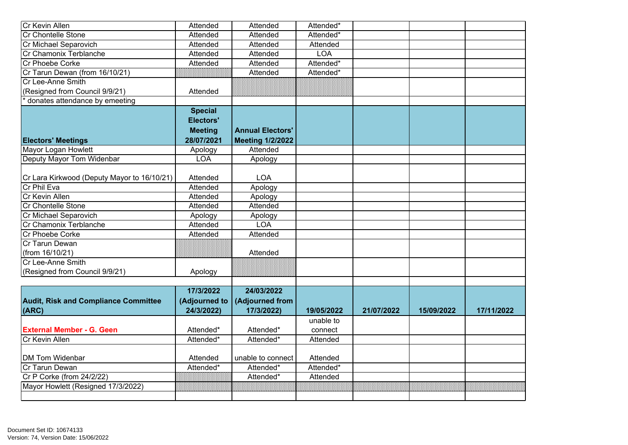| Cr Kevin Allen                              | Attended         | Attended                | Attended*             |            |            |            |
|---------------------------------------------|------------------|-------------------------|-----------------------|------------|------------|------------|
| Cr Chontelle Stone                          | Attended         | Attended                | Attended*             |            |            |            |
| Cr Michael Separovich                       | Attended         | Attended                | Attended              |            |            |            |
| Cr Chamonix Terblanche                      | Attended         | Attended                | <b>LOA</b>            |            |            |            |
| Cr Phoebe Corke                             | Attended         | Attended                | Attended*             |            |            |            |
| Cr Tarun Dewan (from 16/10/21)              |                  | Attended                | Attended*             |            |            |            |
| Cr Lee-Anne Smith                           |                  |                         |                       |            |            |            |
| (Resigned from Council 9/9/21)              | Attended         |                         |                       |            |            |            |
| donates attendance by emeeting              |                  |                         |                       |            |            |            |
|                                             | <b>Special</b>   |                         |                       |            |            |            |
|                                             | <b>Electors'</b> |                         |                       |            |            |            |
|                                             | <b>Meeting</b>   | <b>Annual Electors'</b> |                       |            |            |            |
| <b>Electors' Meetings</b>                   | 28/07/2021       | <b>Meeting 1/2/2022</b> |                       |            |            |            |
| Mayor Logan Howlett                         | Apology          | Attended                |                       |            |            |            |
| Deputy Mayor Tom Widenbar                   | <b>LOA</b>       | Apology                 |                       |            |            |            |
|                                             |                  |                         |                       |            |            |            |
| Cr Lara Kirkwood (Deputy Mayor to 16/10/21) | Attended         | <b>LOA</b>              |                       |            |            |            |
| Cr Phil Eva                                 | Attended         | Apology                 |                       |            |            |            |
| Cr Kevin Allen                              | Attended         | Apology                 |                       |            |            |            |
| <b>Cr Chontelle Stone</b>                   | <b>Attended</b>  | Attended                |                       |            |            |            |
| Cr Michael Separovich                       | Apology          | Apology                 |                       |            |            |            |
| Cr Chamonix Terblanche                      | Attended         | LOA                     |                       |            |            |            |
| Cr Phoebe Corke                             | Attended         | Attended                |                       |            |            |            |
| Cr Tarun Dewan                              |                  |                         |                       |            |            |            |
| (from 16/10/21)                             |                  | Attended                |                       |            |            |            |
| Cr Lee-Anne Smith                           |                  |                         |                       |            |            |            |
| (Resigned from Council 9/9/21)              | Apology          |                         |                       |            |            |            |
|                                             |                  |                         |                       |            |            |            |
|                                             | 17/3/2022        | 24/03/2022              |                       |            |            |            |
| <b>Audit, Risk and Compliance Committee</b> | (Adjourned to    | (Adjourned from         |                       |            |            |            |
| (ARC)                                       | 24/3/2022)       | 17/3/2022)              | 19/05/2022            | 21/07/2022 | 15/09/2022 | 17/11/2022 |
|                                             |                  |                         | unable to             |            |            |            |
| <b>External Member - G. Geen</b>            | Attended*        | Attended*               | connect               |            |            |            |
| Cr Kevin Allen                              | Attended*        | Attended*               | Attended              |            |            |            |
|                                             |                  |                         |                       |            |            |            |
| DM Tom Widenbar                             | Attended         | unable to connect       | Attended              |            |            |            |
| Cr Tarun Dewan                              | Attended*        | Attended*               | Attended <sup>*</sup> |            |            |            |
| Cr P Corke (from 24/2/22)                   |                  | Attended*               | Attended              |            |            |            |
| Mayor Howlett (Resigned 17/3/2022)          |                  |                         | amananan              |            |            |            |
|                                             |                  |                         |                       |            |            |            |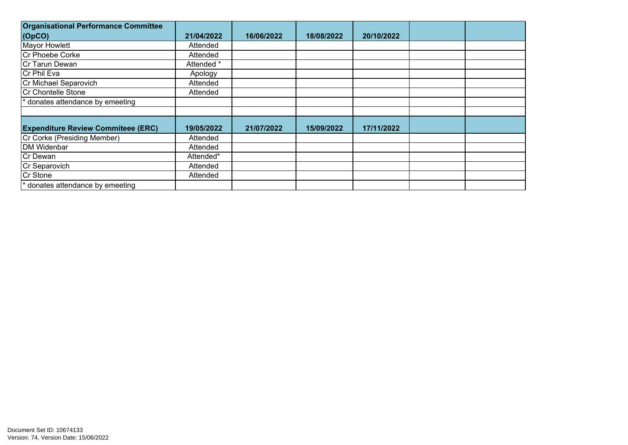| <b>Organisational Performance Committee</b> |            |            |            |            |  |
|---------------------------------------------|------------|------------|------------|------------|--|
| $\vert$ (OpCO)                              | 21/04/2022 | 16/06/2022 | 18/08/2022 | 20/10/2022 |  |
| Mayor Howlett                               | Attended   |            |            |            |  |
| Cr Phoebe Corke                             | Attended   |            |            |            |  |
| Cr Tarun Dewan                              | Attended * |            |            |            |  |
| Cr Phil Eva                                 | Apology    |            |            |            |  |
| Cr Michael Separovich                       | Attended   |            |            |            |  |
| Cr Chontelle Stone                          | Attended   |            |            |            |  |
| donates attendance by emeeting              |            |            |            |            |  |
|                                             |            |            |            |            |  |
|                                             |            |            |            |            |  |
| <b>Expenditure Review Commiteee (ERC)</b>   | 19/05/2022 | 21/07/2022 | 15/09/2022 | 17/11/2022 |  |
| Cr Corke (Presiding Member)                 | Attended   |            |            |            |  |
| DM Widenbar                                 | Attended   |            |            |            |  |
| Cr Dewan                                    | Attended*  |            |            |            |  |
| Cr Separovich                               | Attended   |            |            |            |  |
| Cr Stone                                    | Attended   |            |            |            |  |
| * donates attendance by emeeting            |            |            |            |            |  |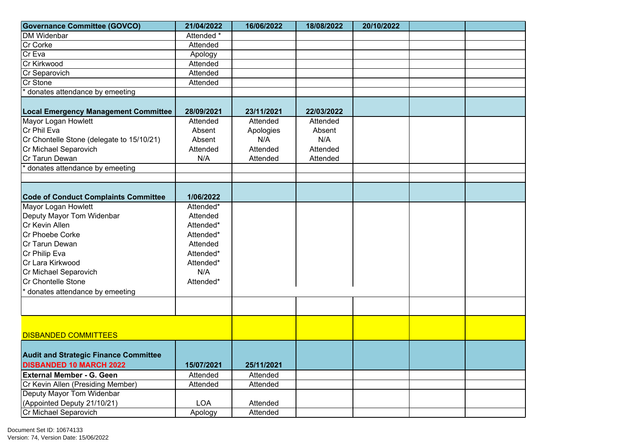| <b>Governance Committee (GOVCO)</b>                  | 21/04/2022 | 16/06/2022 | 18/08/2022 | 20/10/2022 |  |
|------------------------------------------------------|------------|------------|------------|------------|--|
| <b>DM Widenbar</b>                                   | Attended * |            |            |            |  |
| Cr Corke                                             | Attended   |            |            |            |  |
| Cr Eva                                               | Apology    |            |            |            |  |
| Cr Kirkwood                                          | Attended   |            |            |            |  |
| Cr Separovich                                        | Attended   |            |            |            |  |
| Cr Stone                                             | Attended   |            |            |            |  |
| donates attendance by emeeting                       |            |            |            |            |  |
|                                                      |            |            |            |            |  |
| <b>Local Emergency Management Committee</b>          | 28/09/2021 | 23/11/2021 | 22/03/2022 |            |  |
| Mayor Logan Howlett                                  | Attended   | Attended   | Attended   |            |  |
| Cr Phil Eva                                          | Absent     | Apologies  | Absent     |            |  |
| Cr Chontelle Stone (delegate to 15/10/21)            | Absent     | N/A        | N/A        |            |  |
| Cr Michael Separovich                                | Attended   | Attended   | Attended   |            |  |
| Cr Tarun Dewan                                       | N/A        | Attended   | Attended   |            |  |
| donates attendance by emeeting                       |            |            |            |            |  |
|                                                      |            |            |            |            |  |
|                                                      |            |            |            |            |  |
| <b>Code of Conduct Complaints Committee</b>          | 1/06/2022  |            |            |            |  |
| Mayor Logan Howlett                                  | Attended*  |            |            |            |  |
| Deputy Mayor Tom Widenbar                            | Attended   |            |            |            |  |
| Cr Kevin Allen                                       | Attended*  |            |            |            |  |
| Cr Phoebe Corke                                      | Attended*  |            |            |            |  |
| Cr Tarun Dewan                                       | Attended   |            |            |            |  |
| Cr Philip Eva                                        | Attended*  |            |            |            |  |
| Cr Lara Kirkwood                                     | Attended*  |            |            |            |  |
| Cr Michael Separovich                                | N/A        |            |            |            |  |
| Cr Chontelle Stone                                   | Attended*  |            |            |            |  |
| * donates attendance by emeeting                     |            |            |            |            |  |
|                                                      |            |            |            |            |  |
|                                                      |            |            |            |            |  |
|                                                      |            |            |            |            |  |
|                                                      |            |            |            |            |  |
| <b>DISBANDED COMMITTEES</b>                          |            |            |            |            |  |
|                                                      |            |            |            |            |  |
| <b>Audit and Strategic Finance Committee</b>         |            |            |            |            |  |
| <b>DISBANDED 10 MARCH 2022</b>                       | 15/07/2021 | 25/11/2021 |            |            |  |
| <b>External Member - G. Geen</b>                     | Attended   | Attended   |            |            |  |
| Cr Kevin Allen (Presiding Member)                    | Attended   | Attended   |            |            |  |
| Deputy Mayor Tom Widenbar                            |            |            |            |            |  |
| (Appointed Deputy 21/10/21)<br>Cr Michael Separovich | <b>LOA</b> | Attended   |            |            |  |
|                                                      | Apology    | Attended   |            |            |  |

Document Set ID: 10674133<br>Version: 74, Version Date: 15/06/2022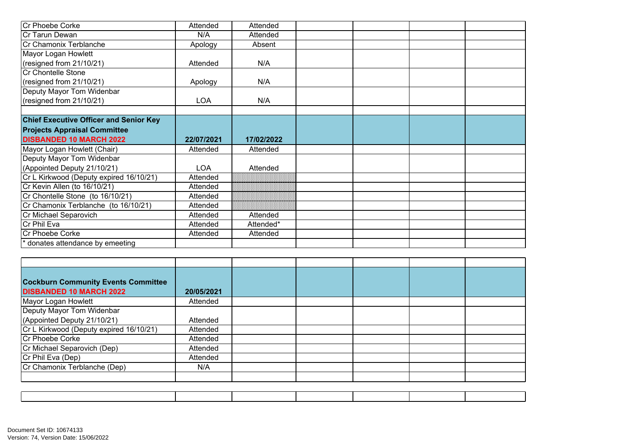| Cr Phoebe Corke                               | Attended   | Attended   |  |  |
|-----------------------------------------------|------------|------------|--|--|
| Cr Tarun Dewan                                | N/A        | Attended   |  |  |
| Cr Chamonix Terblanche                        | Apology    | Absent     |  |  |
| Mayor Logan Howlett                           |            |            |  |  |
| (resigned from 21/10/21)                      | Attended   | N/A        |  |  |
| Cr Chontelle Stone                            |            |            |  |  |
| (resigned from 21/10/21)                      | Apology    | N/A        |  |  |
| Deputy Mayor Tom Widenbar                     |            |            |  |  |
| (resigned from 21/10/21)                      | <b>LOA</b> | N/A        |  |  |
|                                               |            |            |  |  |
| <b>Chief Executive Officer and Senior Key</b> |            |            |  |  |
| <b>Projects Appraisal Committee</b>           |            |            |  |  |
|                                               |            |            |  |  |
| <b>DISBANDED 10 MARCH 2022</b>                | 22/07/2021 | 17/02/2022 |  |  |
| Mayor Logan Howlett (Chair)                   | Attended   | Attended   |  |  |
| Deputy Mayor Tom Widenbar                     |            |            |  |  |
| (Appointed Deputy 21/10/21)                   | <b>LOA</b> | Attended   |  |  |
| Cr L Kirkwood (Deputy expired 16/10/21)       | Attended   |            |  |  |
| Cr Kevin Allen (to 16/10/21)                  | Attended   |            |  |  |
| Cr Chontelle Stone (to 16/10/21)              | Attended   |            |  |  |
| Cr Chamonix Terblanche (to 16/10/21)          | Attended   |            |  |  |
| Cr Michael Separovich                         | Attended   | Attended   |  |  |
| Cr Phil Eva                                   | Attended   | Attended*  |  |  |
| Cr Phoebe Corke                               | Attended   | Attended   |  |  |

| <b>Cockburn Community Events Committee</b><br><b>DISBANDED 10 MARCH 2022</b> | 20/05/2021 |  |  |  |
|------------------------------------------------------------------------------|------------|--|--|--|
| Mayor Logan Howlett                                                          | Attended   |  |  |  |
| Deputy Mayor Tom Widenbar                                                    |            |  |  |  |
| (Appointed Deputy 21/10/21)                                                  | Attended   |  |  |  |
| Cr L Kirkwood (Deputy expired 16/10/21)                                      | Attended   |  |  |  |
| Cr Phoebe Corke                                                              | Attended   |  |  |  |
| Cr Michael Separovich (Dep)                                                  | Attended   |  |  |  |
| Cr Phil Eva (Dep)                                                            | Attended   |  |  |  |
| Cr Chamonix Terblanche (Dep)                                                 | N/A        |  |  |  |
|                                                                              |            |  |  |  |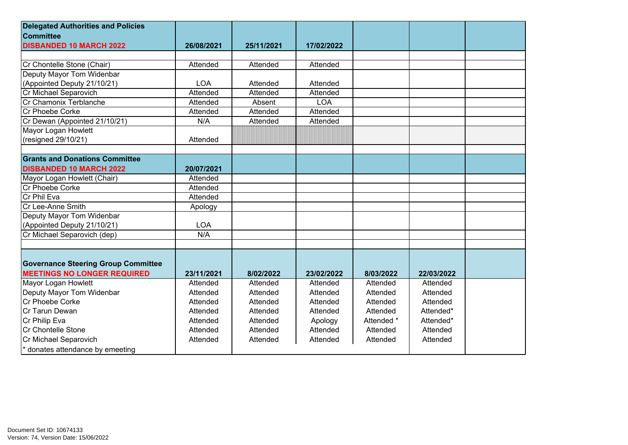| <b>Delegated Authorities and Policies</b>  |            |            |            |            |            |  |
|--------------------------------------------|------------|------------|------------|------------|------------|--|
| <b>Committee</b>                           |            |            |            |            |            |  |
| <b>DISBANDED 10 MARCH 2022</b>             | 26/08/2021 | 25/11/2021 | 17/02/2022 |            |            |  |
|                                            |            |            |            |            |            |  |
| Cr Chontelle Stone (Chair)                 | Attended   | Attended   | Attended   |            |            |  |
| Deputy Mayor Tom Widenbar                  |            |            |            |            |            |  |
| (Appointed Deputy 21/10/21)                | <b>LOA</b> | Attended   | Attended   |            |            |  |
| Cr Michael Separovich                      | Attended   | Attended   | Attended   |            |            |  |
| Cr Chamonix Terblanche                     | Attended   | Absent     | <b>LOA</b> |            |            |  |
| Cr Phoebe Corke                            | Attended   | Attended   | Attended   |            |            |  |
| Cr Dewan (Appointed 21/10/21)              | N/A        | Attended   | Attended   |            |            |  |
| Mayor Logan Howlett                        |            |            |            |            |            |  |
| (resigned 29/10/21)                        | Attended   |            |            |            |            |  |
|                                            |            |            |            |            |            |  |
| <b>Grants and Donations Committee</b>      |            |            |            |            |            |  |
| <b>DISBANDED 10 MARCH 2022</b>             | 20/07/2021 |            |            |            |            |  |
| Mayor Logan Howlett (Chair)                | Attended   |            |            |            |            |  |
| Cr Phoebe Corke                            | Attended   |            |            |            |            |  |
| Cr Phil Eva                                | Attended   |            |            |            |            |  |
| Cr Lee-Anne Smith                          | Apology    |            |            |            |            |  |
| Deputy Mayor Tom Widenbar                  |            |            |            |            |            |  |
| (Appointed Deputy 21/10/21)                | <b>LOA</b> |            |            |            |            |  |
| Cr Michael Separovich (dep)                | N/A        |            |            |            |            |  |
|                                            |            |            |            |            |            |  |
|                                            |            |            |            |            |            |  |
| <b>Governance Steering Group Committee</b> |            |            |            |            |            |  |
| <b>MEETINGS NO LONGER REQUIRED</b>         | 23/11/2021 | 8/02/2022  | 23/02/2022 | 8/03/2022  | 22/03/2022 |  |
| Mayor Logan Howlett                        | Attended   | Attended   | Attended   | Attended   | Attended   |  |
| Deputy Mayor Tom Widenbar                  | Attended   | Attended   | Attended   | Attended   | Attended   |  |
| Cr Phoebe Corke                            | Attended   | Attended   | Attended   | Attended   | Attended   |  |
| Cr Tarun Dewan                             | Attended   | Attended   | Attended   | Attended   | Attended*  |  |
| Cr Philip Eva                              | Attended   | Attended   | Apology    | Attended * | Attended*  |  |
| Cr Chontelle Stone                         | Attended   | Attended   | Attended   | Attended   | Attended   |  |
| Cr Michael Separovich                      | Attended   | Attended   | Attended   | Attended   | Attended   |  |
| * donates attendance by emeeting           |            |            |            |            |            |  |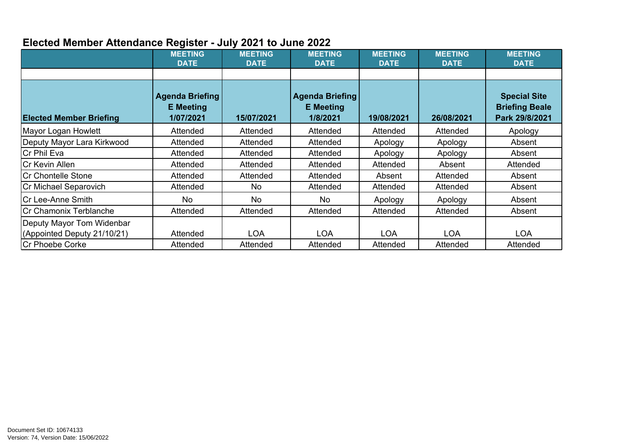## **Elected Member Attendance Register - July 2021 to June 2022**

|                                                          | <b>MEETING</b><br><b>DATE</b>                           | <b>MEETING</b><br><b>DATE</b> | <b>MEETING</b><br><b>DATE</b>                   | <b>MEETING</b><br><b>DATE</b> | <b>MEETING</b><br><b>DATE</b> | <b>MEETING</b><br><b>DATE</b>                                  |
|----------------------------------------------------------|---------------------------------------------------------|-------------------------------|-------------------------------------------------|-------------------------------|-------------------------------|----------------------------------------------------------------|
| <b>Elected Member Briefing</b>                           | <b>Agenda Briefing</b><br><b>E</b> Meeting<br>1/07/2021 | 15/07/2021                    | Agenda Briefing<br><b>E</b> Meeting<br>1/8/2021 | 19/08/2021                    | 26/08/2021                    | <b>Special Site</b><br><b>Briefing Beale</b><br>Park 29/8/2021 |
| Mayor Logan Howlett                                      | Attended                                                | Attended                      | Attended                                        | Attended                      | Attended                      | Apology                                                        |
| Deputy Mayor Lara Kirkwood                               | Attended                                                | Attended                      | Attended                                        | Apology                       | Apology                       | Absent                                                         |
| Cr Phil Eva                                              | Attended                                                | Attended                      | Attended                                        | Apology                       | Apology                       | Absent                                                         |
| <b>Cr Kevin Allen</b>                                    | Attended                                                | Attended                      | Attended                                        | Attended                      | Absent                        | Attended                                                       |
| Cr Chontelle Stone                                       | Attended                                                | Attended                      | Attended                                        | Absent                        | Attended                      | Absent                                                         |
| Cr Michael Separovich                                    | Attended                                                | No.                           | Attended                                        | Attended                      | Attended                      | Absent                                                         |
| Cr Lee-Anne Smith                                        | <b>No</b>                                               | <b>No</b>                     | No.                                             | Apology                       | Apology                       | Absent                                                         |
| Cr Chamonix Terblanche                                   | Attended                                                | Attended                      | Attended                                        | Attended                      | Attended                      | Absent                                                         |
| Deputy Mayor Tom Widenbar<br>(Appointed Deputy 21/10/21) | Attended                                                | <b>LOA</b>                    | <b>LOA</b>                                      | <b>LOA</b>                    | <b>LOA</b>                    | <b>LOA</b>                                                     |
| <b>Cr Phoebe Corke</b>                                   | Attended                                                | Attended                      | Attended                                        | Attended                      | Attended                      | Attended                                                       |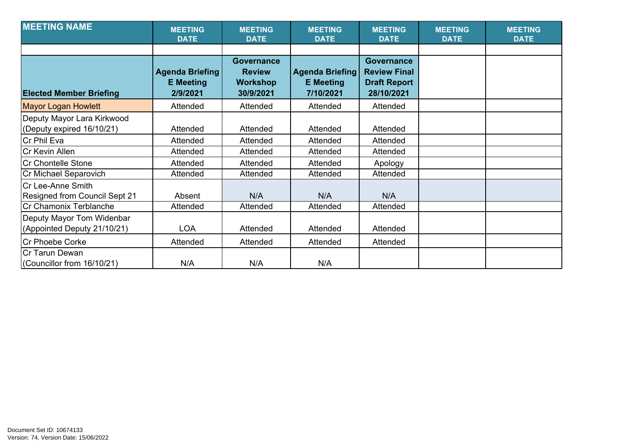| <b>MEETING NAME</b>                                      | <b>MEETING</b><br><b>DATE</b>                          | <b>MEETING</b><br><b>DATE</b>                                      | <b>MEETING</b><br><b>DATE</b>                    | <b>MEETING</b><br><b>DATE</b>                                                 | <b>MEETING</b><br><b>DATE</b> | <b>MEETING</b><br><b>DATE</b> |
|----------------------------------------------------------|--------------------------------------------------------|--------------------------------------------------------------------|--------------------------------------------------|-------------------------------------------------------------------------------|-------------------------------|-------------------------------|
| <b>Elected Member Briefing</b>                           | <b>Agenda Briefing</b><br><b>E</b> Meeting<br>2/9/2021 | <b>Governance</b><br><b>Review</b><br><b>Workshop</b><br>30/9/2021 | Agenda Briefing<br><b>E</b> Meeting<br>7/10/2021 | <b>Governance</b><br><b>Review Final</b><br><b>Draft Report</b><br>28/10/2021 |                               |                               |
| <b>Mayor Logan Howlett</b>                               | Attended                                               | Attended                                                           | Attended                                         | Attended                                                                      |                               |                               |
| Deputy Mayor Lara Kirkwood<br>(Deputy expired 16/10/21)  | Attended                                               | Attended                                                           | Attended                                         | Attended                                                                      |                               |                               |
| Cr Phil Eva                                              | Attended                                               | Attended                                                           | Attended                                         | Attended                                                                      |                               |                               |
| Cr Kevin Allen                                           | Attended                                               | Attended                                                           | Attended                                         | Attended                                                                      |                               |                               |
| Cr Chontelle Stone                                       | Attended                                               | Attended                                                           | Attended                                         | Apology                                                                       |                               |                               |
| Cr Michael Separovich                                    | Attended                                               | Attended                                                           | Attended                                         | Attended                                                                      |                               |                               |
| Cr Lee-Anne Smith<br>Resigned from Council Sept 21       | Absent                                                 | N/A                                                                | N/A                                              | N/A                                                                           |                               |                               |
| Cr Chamonix Terblanche                                   | Attended                                               | Attended                                                           | Attended                                         | Attended                                                                      |                               |                               |
| Deputy Mayor Tom Widenbar<br>(Appointed Deputy 21/10/21) | <b>LOA</b>                                             | Attended                                                           | Attended                                         | Attended                                                                      |                               |                               |
| Cr Phoebe Corke                                          | Attended                                               | Attended                                                           | Attended                                         | Attended                                                                      |                               |                               |
| Cr Tarun Dewan<br>(Councillor from 16/10/21)             | N/A                                                    | N/A                                                                | N/A                                              |                                                                               |                               |                               |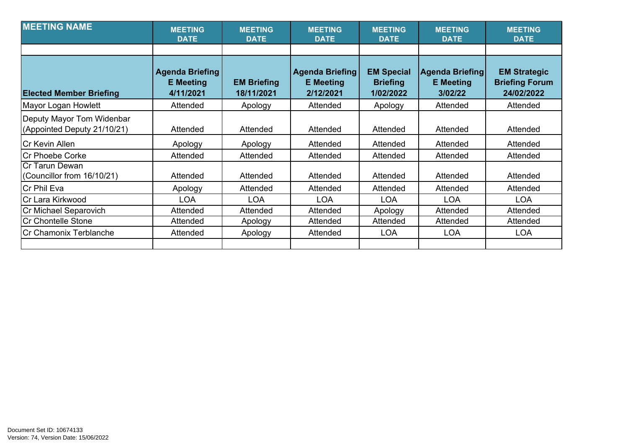| <b>MEETING NAME</b>                                      | <b>MEETING</b><br><b>DATE</b>                           | <b>MEETING</b><br><b>DATE</b>    | <b>MEETING</b><br><b>DATE</b>                           | <b>MEETING</b><br><b>DATE</b>                     | <b>MEETING</b><br><b>DATE</b>                  | <b>MEETING</b><br><b>DATE</b>                              |
|----------------------------------------------------------|---------------------------------------------------------|----------------------------------|---------------------------------------------------------|---------------------------------------------------|------------------------------------------------|------------------------------------------------------------|
|                                                          |                                                         |                                  |                                                         |                                                   |                                                |                                                            |
| <b>Elected Member Briefing</b>                           | <b>Agenda Briefing</b><br><b>E</b> Meeting<br>4/11/2021 | <b>EM Briefing</b><br>18/11/2021 | <b>Agenda Briefing</b><br><b>E</b> Meeting<br>2/12/2021 | <b>EM Special</b><br><b>Briefing</b><br>1/02/2022 | Agenda Briefing<br><b>E</b> Meeting<br>3/02/22 | <b>EM Strategic</b><br><b>Briefing Forum</b><br>24/02/2022 |
| Mayor Logan Howlett                                      | Attended                                                | Apology                          | Attended                                                | Apology                                           | Attended                                       | Attended                                                   |
| Deputy Mayor Tom Widenbar<br>(Appointed Deputy 21/10/21) | Attended                                                | Attended                         | Attended                                                | Attended                                          | Attended                                       | Attended                                                   |
| <b>Cr Kevin Allen</b>                                    | Apology                                                 | Apology                          | Attended                                                | Attended                                          | Attended                                       | Attended                                                   |
| Cr Phoebe Corke                                          | Attended                                                | Attended                         | Attended                                                | Attended                                          | Attended                                       | Attended                                                   |
| Cr Tarun Dewan<br>(Councillor from 16/10/21)             | Attended                                                | Attended                         | Attended                                                | Attended                                          | Attended                                       | Attended                                                   |
| Cr Phil Eva                                              | Apology                                                 | Attended                         | Attended                                                | Attended                                          | Attended                                       | Attended                                                   |
| Cr Lara Kirkwood                                         | <b>LOA</b>                                              | <b>LOA</b>                       | <b>LOA</b>                                              | <b>LOA</b>                                        | <b>LOA</b>                                     | <b>LOA</b>                                                 |
| Cr Michael Separovich                                    | Attended                                                | Attended                         | Attended                                                | Apology                                           | Attended                                       | Attended                                                   |
| Cr Chontelle Stone                                       | Attended                                                | Apology                          | Attended                                                | Attended                                          | Attended                                       | Attended                                                   |
| Cr Chamonix Terblanche                                   | Attended                                                | Apology                          | Attended                                                | <b>LOA</b>                                        | <b>LOA</b>                                     | <b>LOA</b>                                                 |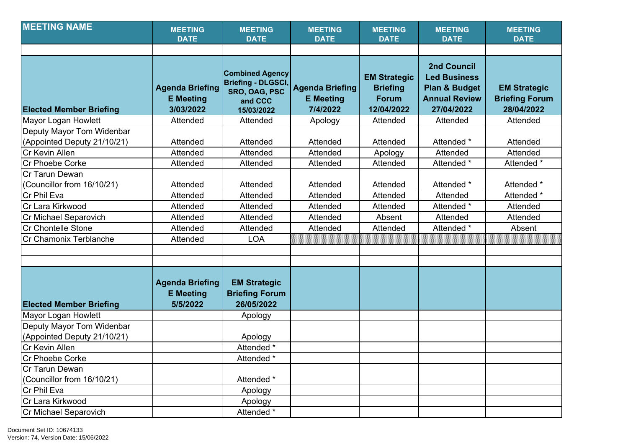| <b>MEETING NAME</b>                                      | <b>MEETING</b><br><b>DATE</b>                           | <b>MEETING</b><br><b>DATE</b>                                                                 | <b>MEETING</b><br><b>DATE</b>                          | <b>MEETING</b><br><b>DATE</b>                                        | <b>MEETING</b><br><b>DATE</b>                                                                               | <b>MEETING</b><br><b>DATE</b>                              |
|----------------------------------------------------------|---------------------------------------------------------|-----------------------------------------------------------------------------------------------|--------------------------------------------------------|----------------------------------------------------------------------|-------------------------------------------------------------------------------------------------------------|------------------------------------------------------------|
|                                                          |                                                         |                                                                                               |                                                        |                                                                      |                                                                                                             |                                                            |
| <b>Elected Member Briefing</b>                           | <b>Agenda Briefing</b><br><b>E</b> Meeting<br>3/03/2022 | <b>Combined Agency</b><br><b>Briefing - DLGSCI,</b><br>SRO, OAG, PSC<br>and CCC<br>15/03/2022 | <b>Agenda Briefing</b><br><b>E</b> Meeting<br>7/4/2022 | <b>EM Strategic</b><br><b>Briefing</b><br><b>Forum</b><br>12/04/2022 | <b>2nd Council</b><br><b>Led Business</b><br><b>Plan &amp; Budget</b><br><b>Annual Review</b><br>27/04/2022 | <b>EM Strategic</b><br><b>Briefing Forum</b><br>28/04/2022 |
| <b>Mayor Logan Howlett</b>                               | Attended                                                | Attended                                                                                      | Apology                                                | Attended                                                             | Attended                                                                                                    | Attended                                                   |
| Deputy Mayor Tom Widenbar<br>(Appointed Deputy 21/10/21) | Attended                                                | Attended                                                                                      | Attended                                               | Attended                                                             | Attended *                                                                                                  | Attended                                                   |
| Cr Kevin Allen                                           | Attended                                                | Attended                                                                                      | Attended                                               | Apology                                                              | Attended                                                                                                    | Attended                                                   |
| <b>Cr Phoebe Corke</b>                                   | Attended                                                | Attended                                                                                      | Attended                                               | Attended                                                             | Attended *                                                                                                  | Attended *                                                 |
| Cr Tarun Dewan<br>(Councillor from 16/10/21)             | Attended                                                | Attended                                                                                      | Attended                                               | Attended                                                             | Attended *                                                                                                  | Attended *                                                 |
| Cr Phil Eva                                              | Attended                                                | Attended                                                                                      | Attended                                               | Attended                                                             | Attended                                                                                                    | Attended *                                                 |
| Cr Lara Kirkwood                                         | Attended                                                | Attended                                                                                      | Attended                                               | Attended                                                             | Attended *                                                                                                  | Attended                                                   |
| Cr Michael Separovich                                    | Attended                                                | Attended                                                                                      | Attended                                               | Absent                                                               | Attended                                                                                                    | Attended                                                   |
| Cr Chontelle Stone                                       | Attended                                                | Attended                                                                                      | Attended                                               | Attended                                                             | Attended *                                                                                                  | Absent                                                     |
| Cr Chamonix Terblanche                                   | Attended                                                | <b>LOA</b>                                                                                    |                                                        |                                                                      |                                                                                                             |                                                            |
|                                                          |                                                         |                                                                                               |                                                        |                                                                      |                                                                                                             |                                                            |
|                                                          |                                                         |                                                                                               |                                                        |                                                                      |                                                                                                             |                                                            |
| <b>Elected Member Briefing</b>                           | <b>Agenda Briefing</b><br><b>E</b> Meeting<br>5/5/2022  | <b>EM Strategic</b><br><b>Briefing Forum</b><br>26/05/2022                                    |                                                        |                                                                      |                                                                                                             |                                                            |
| Mayor Logan Howlett                                      |                                                         | Apology                                                                                       |                                                        |                                                                      |                                                                                                             |                                                            |
| Deputy Mayor Tom Widenbar<br>(Appointed Deputy 21/10/21) |                                                         | Apology                                                                                       |                                                        |                                                                      |                                                                                                             |                                                            |
| Cr Kevin Allen                                           |                                                         | Attended *                                                                                    |                                                        |                                                                      |                                                                                                             |                                                            |
| Cr Phoebe Corke                                          |                                                         | Attended *                                                                                    |                                                        |                                                                      |                                                                                                             |                                                            |
| Cr Tarun Dewan                                           |                                                         |                                                                                               |                                                        |                                                                      |                                                                                                             |                                                            |
| (Councillor from 16/10/21)                               |                                                         | Attended *                                                                                    |                                                        |                                                                      |                                                                                                             |                                                            |
| Cr Phil Eva                                              |                                                         | Apology                                                                                       |                                                        |                                                                      |                                                                                                             |                                                            |
| Cr Lara Kirkwood                                         |                                                         | Apology                                                                                       |                                                        |                                                                      |                                                                                                             |                                                            |
| Cr Michael Separovich                                    |                                                         | Attended *                                                                                    |                                                        |                                                                      |                                                                                                             |                                                            |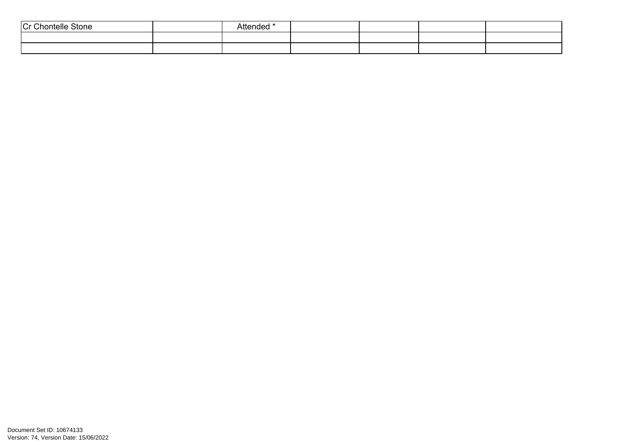| $\sim$<br>$\sim$<br>Stone<br>nontelle J<br>''<br>ີ | Attended * |  |  |
|----------------------------------------------------|------------|--|--|
|                                                    |            |  |  |
|                                                    |            |  |  |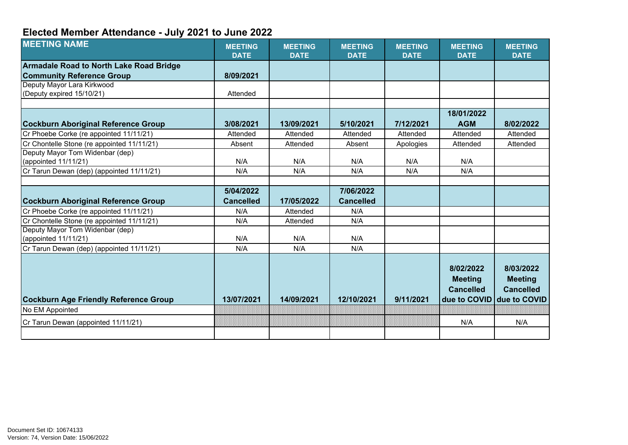## **Elected Member Attendance - July 2021 to June 2022**

| <b>MEETING NAME</b>                            | <b>MEETING</b><br><b>DATE</b> | <b>MEETING</b><br><b>DATE</b> | <b>MEETING</b><br><b>DATE</b> | <b>MEETING</b><br><b>DATE</b> | <b>MEETING</b><br><b>DATE</b>                   | <b>MEETING</b><br><b>DATE</b>                   |
|------------------------------------------------|-------------------------------|-------------------------------|-------------------------------|-------------------------------|-------------------------------------------------|-------------------------------------------------|
| <b>Armadale Road to North Lake Road Bridge</b> |                               |                               |                               |                               |                                                 |                                                 |
| <b>Community Reference Group</b>               | 8/09/2021                     |                               |                               |                               |                                                 |                                                 |
| Deputy Mayor Lara Kirkwood                     |                               |                               |                               |                               |                                                 |                                                 |
| (Deputy expired 15/10/21)                      | Attended                      |                               |                               |                               |                                                 |                                                 |
|                                                |                               |                               |                               |                               |                                                 |                                                 |
|                                                |                               |                               |                               |                               | 18/01/2022                                      |                                                 |
| <b>Cockburn Aboriginal Reference Group</b>     | 3/08/2021                     | 13/09/2021                    | 5/10/2021                     | 7/12/2021                     | <b>AGM</b>                                      | 8/02/2022                                       |
| Cr Phoebe Corke (re appointed 11/11/21)        | Attended                      | Attended                      | Attended                      | Attended                      | Attended                                        | Attended                                        |
| Cr Chontelle Stone (re appointed 11/11/21)     | Absent                        | Attended                      | Absent                        | Apologies                     | Attended                                        | Attended                                        |
| Deputy Mayor Tom Widenbar (dep)                |                               |                               |                               |                               |                                                 |                                                 |
| (appointed 11/11/21)                           | N/A                           | N/A                           | N/A                           | N/A                           | N/A                                             |                                                 |
| Cr Tarun Dewan (dep) (appointed 11/11/21)      | N/A                           | N/A                           | N/A                           | N/A                           | N/A                                             |                                                 |
|                                                |                               |                               |                               |                               |                                                 |                                                 |
|                                                | 5/04/2022                     |                               | 7/06/2022                     |                               |                                                 |                                                 |
| Cockburn Aboriginal Reference Group            | <b>Cancelled</b>              | 17/05/2022                    | <b>Cancelled</b>              |                               |                                                 |                                                 |
| Cr Phoebe Corke (re appointed 11/11/21)        | N/A                           | Attended                      | N/A                           |                               |                                                 |                                                 |
| Cr Chontelle Stone (re appointed 11/11/21)     | N/A                           | Attended                      | N/A                           |                               |                                                 |                                                 |
| Deputy Mayor Tom Widenbar (dep)                |                               |                               |                               |                               |                                                 |                                                 |
| (appointed 11/11/21)                           | N/A                           | N/A                           | N/A                           |                               |                                                 |                                                 |
| Cr Tarun Dewan (dep) (appointed 11/11/21)      | N/A                           | N/A                           | N/A                           |                               |                                                 |                                                 |
|                                                |                               |                               |                               |                               | 8/02/2022<br><b>Meeting</b><br><b>Cancelled</b> | 8/03/2022<br><b>Meeting</b><br><b>Cancelled</b> |
| <b>Cockburn Age Friendly Reference Group</b>   | 13/07/2021                    | 14/09/2021                    | 12/10/2021                    | 9/11/2021                     | due to COVID                                    | due to COVID                                    |
| No EM Appointed                                |                               |                               |                               |                               |                                                 |                                                 |
| Cr Tarun Dewan (appointed 11/11/21)            |                               |                               |                               |                               | N/A                                             | N/A                                             |
|                                                |                               |                               |                               |                               |                                                 |                                                 |
|                                                |                               |                               |                               |                               |                                                 |                                                 |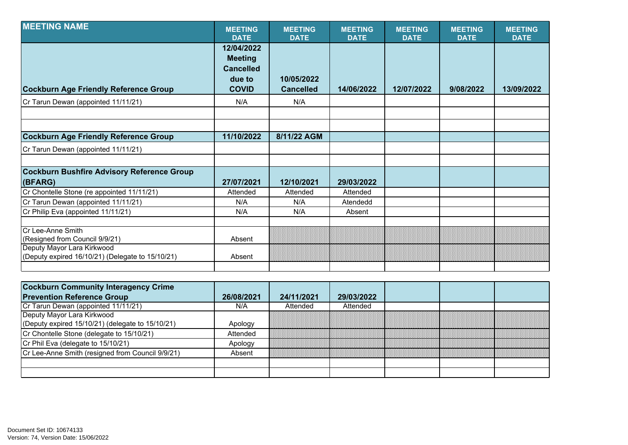| <b>MEETING NAME</b>                                                                                                                   | <b>MEETING</b><br><b>DATE</b>                                              | <b>MEETING</b><br><b>DATE</b>  | <b>MEETING</b><br><b>DATE</b> | <b>MEETING</b><br><b>DATE</b> | <b>MEETING</b><br><b>DATE</b> | <b>MEETING</b><br><b>DATE</b> |
|---------------------------------------------------------------------------------------------------------------------------------------|----------------------------------------------------------------------------|--------------------------------|-------------------------------|-------------------------------|-------------------------------|-------------------------------|
| <b>Cockburn Age Friendly Reference Group</b>                                                                                          | 12/04/2022<br><b>Meeting</b><br><b>Cancelled</b><br>due to<br><b>COVID</b> | 10/05/2022<br><b>Cancelled</b> | 14/06/2022                    | 12/07/2022                    | 9/08/2022                     | 13/09/2022                    |
| Cr Tarun Dewan (appointed 11/11/21)                                                                                                   | N/A                                                                        | N/A                            |                               |                               |                               |                               |
|                                                                                                                                       |                                                                            |                                |                               |                               |                               |                               |
| <b>Cockburn Age Friendly Reference Group</b>                                                                                          | 11/10/2022                                                                 | 8/11/22 AGM                    |                               |                               |                               |                               |
| Cr Tarun Dewan (appointed 11/11/21)                                                                                                   |                                                                            |                                |                               |                               |                               |                               |
|                                                                                                                                       |                                                                            |                                |                               |                               |                               |                               |
| <b>Cockburn Bushfire Advisory Reference Group</b><br>(BFARG)                                                                          | 27/07/2021                                                                 | 12/10/2021                     | 29/03/2022                    |                               |                               |                               |
| Cr Chontelle Stone (re appointed 11/11/21)                                                                                            | Attended                                                                   | Attended                       | Attended                      |                               |                               |                               |
| Cr Tarun Dewan (appointed 11/11/21)                                                                                                   | N/A                                                                        | N/A                            | Atendedd                      |                               |                               |                               |
| Cr Philip Eva (appointed 11/11/21)                                                                                                    | N/A                                                                        | N/A                            | Absent                        |                               |                               |                               |
| Cr Lee-Anne Smith<br>(Resigned from Council 9/9/21)<br>Deputy Mayor Lara Kirkwood<br>(Deputy expired 16/10/21) (Delegate to 15/10/21) | Absent<br>Absent                                                           |                                |                               |                               |                               |                               |
|                                                                                                                                       |                                                                            |                                |                               |                               |                               |                               |

| <b>Cockburn Community Interagency Crime</b>            |            |            |            |  |  |
|--------------------------------------------------------|------------|------------|------------|--|--|
| <b>Prevention Reference Group</b>                      | 26/08/2021 | 24/11/2021 | 29/03/2022 |  |  |
| Cr Tarun Dewan (appointed 11/11/21)                    | N/A        | Attended   | Attended   |  |  |
| Deputy Mayor Lara Kirkwood                             |            |            |            |  |  |
| (Deputy expired $15/10/21$ ) (delegate to $15/10/21$ ) | Apology    |            |            |  |  |
| Cr Chontelle Stone (delegate to 15/10/21)              | Attended   |            |            |  |  |
| Cr Phil Eva (delegate to 15/10/21)                     | Apology    |            |            |  |  |
| Cr Lee-Anne Smith (resigned from Council 9/9/21)       | Absent     |            |            |  |  |
|                                                        |            |            |            |  |  |
|                                                        |            |            |            |  |  |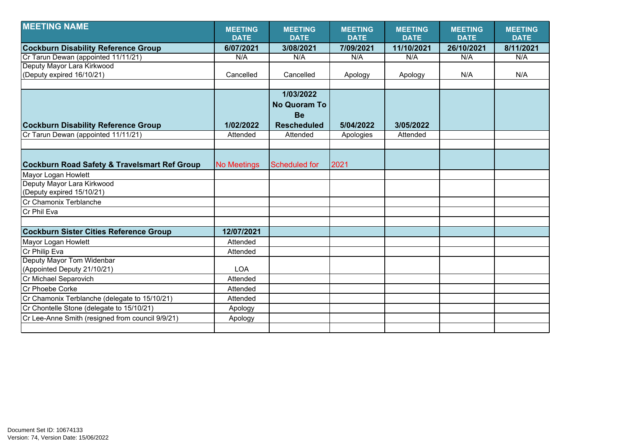| <b>MEETING NAME</b>                                     | <b>MEETING</b>     | <b>MEETING</b>      | <b>MEETING</b> | <b>MEETING</b> | <b>MEETING</b> | <b>MEETING</b> |
|---------------------------------------------------------|--------------------|---------------------|----------------|----------------|----------------|----------------|
|                                                         | <b>DATE</b>        | <b>DATE</b>         | <b>DATE</b>    | <b>DATE</b>    | <b>DATE</b>    | <b>DATE</b>    |
| <b>Cockburn Disability Reference Group</b>              | 6/07/2021          | 3/08/2021           | 7/09/2021      | 11/10/2021     | 26/10/2021     | 8/11/2021      |
| Cr Tarun Dewan (appointed 11/11/21)                     | N/A                | N/A                 | N/A            | N/A            | N/A            | N/A            |
| Deputy Mayor Lara Kirkwood                              |                    |                     |                |                |                |                |
| (Deputy expired 16/10/21)                               | Cancelled          | Cancelled           | Apology        | Apology        | N/A            | N/A            |
|                                                         |                    |                     |                |                |                |                |
|                                                         |                    | 1/03/2022           |                |                |                |                |
|                                                         |                    | <b>No Quoram To</b> |                |                |                |                |
|                                                         |                    | <b>Be</b>           |                |                |                |                |
| <b>Cockburn Disability Reference Group</b>              | 1/02/2022          | <b>Rescheduled</b>  | 5/04/2022      | 3/05/2022      |                |                |
| Cr Tarun Dewan (appointed 11/11/21)                     | Attended           | Attended            | Apologies      | Attended       |                |                |
|                                                         |                    |                     |                |                |                |                |
|                                                         |                    |                     |                |                |                |                |
| <b>Cockburn Road Safety &amp; Travelsmart Ref Group</b> | <b>No Meetings</b> | Scheduled for       | 2021           |                |                |                |
| Mayor Logan Howlett                                     |                    |                     |                |                |                |                |
| Deputy Mayor Lara Kirkwood                              |                    |                     |                |                |                |                |
| (Deputy expired 15/10/21)                               |                    |                     |                |                |                |                |
| <b>ICr Chamonix Terblanche</b>                          |                    |                     |                |                |                |                |
| Cr Phil Eva                                             |                    |                     |                |                |                |                |
|                                                         |                    |                     |                |                |                |                |
| <b>Cockburn Sister Cities Reference Group</b>           | 12/07/2021         |                     |                |                |                |                |
| Mayor Logan Howlett                                     | Attended           |                     |                |                |                |                |
| Cr Philip Eva                                           | Attended           |                     |                |                |                |                |
| Deputy Mayor Tom Widenbar                               |                    |                     |                |                |                |                |
| (Appointed Deputy 21/10/21)                             | <b>LOA</b>         |                     |                |                |                |                |
| Cr Michael Separovich                                   | Attended           |                     |                |                |                |                |
| Cr Phoebe Corke                                         | Attended           |                     |                |                |                |                |
| Cr Chamonix Terblanche (delegate to 15/10/21)           | Attended           |                     |                |                |                |                |
| Cr Chontelle Stone (delegate to 15/10/21)               | Apology            |                     |                |                |                |                |
| Cr Lee-Anne Smith (resigned from council 9/9/21)        | Apology            |                     |                |                |                |                |
|                                                         |                    |                     |                |                |                |                |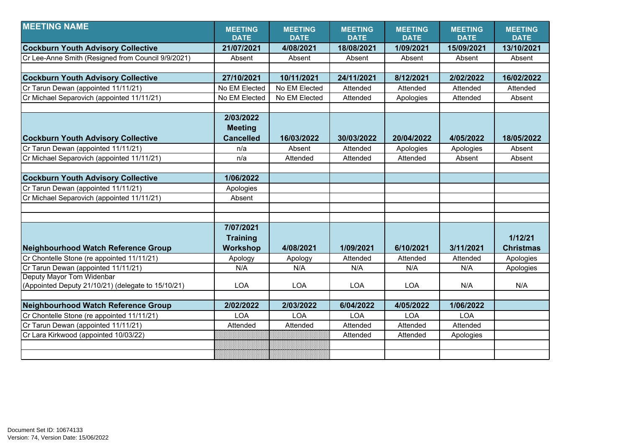| <b>MEETING NAME</b>                                | <b>MEETING</b>   | <b>MEETING</b> | <b>MEETING</b> | <b>MEETING</b> | <b>MEETING</b> | <b>MEETING</b>   |
|----------------------------------------------------|------------------|----------------|----------------|----------------|----------------|------------------|
|                                                    | <b>DATE</b>      | <b>DATE</b>    | <b>DATE</b>    | <b>DATE</b>    | <b>DATE</b>    | <b>DATE</b>      |
| <b>Cockburn Youth Advisory Collective</b>          | 21/07/2021       | 4/08/2021      | 18/08/2021     | 1/09/2021      | 15/09/2021     | 13/10/2021       |
| Cr Lee-Anne Smith (Resigned from Council 9/9/2021) | Absent           | Absent         | Absent         | Absent         | Absent         | Absent           |
|                                                    |                  |                |                |                |                |                  |
| <b>Cockburn Youth Advisory Collective</b>          | 27/10/2021       | 10/11/2021     | 24/11/2021     | 8/12/2021      | 2/02/2022      | 16/02/2022       |
| Cr Tarun Dewan (appointed 11/11/21)                | No EM Elected    | No EM Elected  | Attended       | Attended       | Attended       | Attended         |
| Cr Michael Separovich (appointed 11/11/21)         | No EM Elected    | No EM Elected  | Attended       | Apologies      | Attended       | Absent           |
|                                                    |                  |                |                |                |                |                  |
|                                                    | 2/03/2022        |                |                |                |                |                  |
|                                                    | <b>Meeting</b>   |                |                |                |                |                  |
| <b>Cockburn Youth Advisory Collective</b>          | <b>Cancelled</b> | 16/03/2022     | 30/03/2022     | 20/04/2022     | 4/05/2022      | 18/05/2022       |
| Cr Tarun Dewan (appointed 11/11/21)                | n/a              | Absent         | Attended       | Apologies      | Apologies      | Absent           |
| Cr Michael Separovich (appointed 11/11/21)         | n/a              | Attended       | Attended       | Attended       | Absent         | Absent           |
|                                                    |                  |                |                |                |                |                  |
| <b>Cockburn Youth Advisory Collective</b>          | 1/06/2022        |                |                |                |                |                  |
| Cr Tarun Dewan (appointed 11/11/21)                | Apologies        |                |                |                |                |                  |
| Cr Michael Separovich (appointed 11/11/21)         | Absent           |                |                |                |                |                  |
|                                                    |                  |                |                |                |                |                  |
|                                                    |                  |                |                |                |                |                  |
|                                                    | 7/07/2021        |                |                |                |                |                  |
|                                                    | <b>Training</b>  |                |                |                |                | 1/12/21          |
| Neighbourhood Watch Reference Group                | <b>Workshop</b>  | 4/08/2021      | 1/09/2021      | 6/10/2021      | 3/11/2021      | <b>Christmas</b> |
| Cr Chontelle Stone (re appointed 11/11/21)         | Apology          | Apology        | Attended       | Attended       | Attended       | Apologies        |
| Cr Tarun Dewan (appointed 11/11/21)                | N/A              | N/A            | N/A            | N/A            | N/A            | Apologies        |
| Deputy Mayor Tom Widenbar                          |                  |                |                |                |                |                  |
| (Appointed Deputy 21/10/21) (delegate to 15/10/21) | <b>LOA</b>       | <b>LOA</b>     | <b>LOA</b>     | <b>LOA</b>     | N/A            | N/A              |
|                                                    |                  |                |                |                |                |                  |
| <b>Neighbourhood Watch Reference Group</b>         | 2/02/2022        | 2/03/2022      | 6/04/2022      | 4/05/2022      | 1/06/2022      |                  |
| Cr Chontelle Stone (re appointed 11/11/21)         | <b>LOA</b>       | <b>LOA</b>     | <b>LOA</b>     | <b>LOA</b>     | <b>LOA</b>     |                  |
| Cr Tarun Dewan (appointed 11/11/21)                | Attended         | Attended       | Attended       | Attended       | Attended       |                  |
| Cr Lara Kirkwood (appointed 10/03/22)              |                  |                | Attended       | Attended       | Apologies      |                  |
|                                                    |                  |                |                |                |                |                  |
|                                                    |                  |                |                |                |                |                  |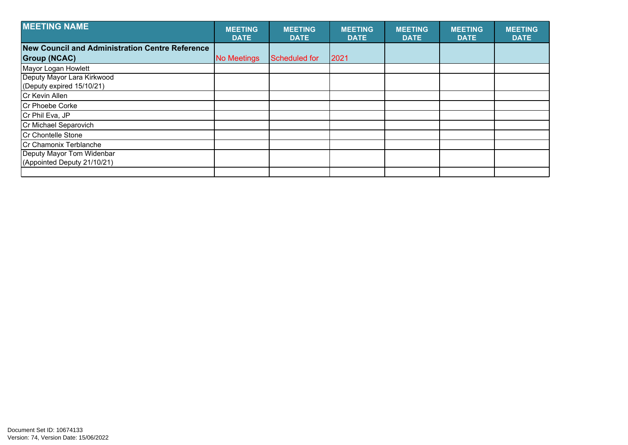| <b>MEETING NAME</b>                                      | <b>MEETING</b><br><b>DATE</b> | <b>MEETING</b><br><b>DATE</b> | <b>MEETING</b><br><b>DATE</b> | <b>MEETING</b><br><b>DATE</b> | <b>MEETING</b><br><b>DATE</b> | <b>MEETING</b><br><b>DATE</b> |
|----------------------------------------------------------|-------------------------------|-------------------------------|-------------------------------|-------------------------------|-------------------------------|-------------------------------|
| <b>New Council and Administration Centre Reference</b>   |                               |                               |                               |                               |                               |                               |
| <b>Group (NCAC)</b>                                      | No Meetings                   | Scheduled for                 | 2021                          |                               |                               |                               |
| Mayor Logan Howlett                                      |                               |                               |                               |                               |                               |                               |
| Deputy Mayor Lara Kirkwood<br>(Deputy expired 15/10/21)  |                               |                               |                               |                               |                               |                               |
| Cr Kevin Allen                                           |                               |                               |                               |                               |                               |                               |
| <b>Cr Phoebe Corke</b>                                   |                               |                               |                               |                               |                               |                               |
| Cr Phil Eva, JP                                          |                               |                               |                               |                               |                               |                               |
| Cr Michael Separovich                                    |                               |                               |                               |                               |                               |                               |
| Cr Chontelle Stone                                       |                               |                               |                               |                               |                               |                               |
| Cr Chamonix Terblanche                                   |                               |                               |                               |                               |                               |                               |
| Deputy Mayor Tom Widenbar<br>(Appointed Deputy 21/10/21) |                               |                               |                               |                               |                               |                               |
|                                                          |                               |                               |                               |                               |                               |                               |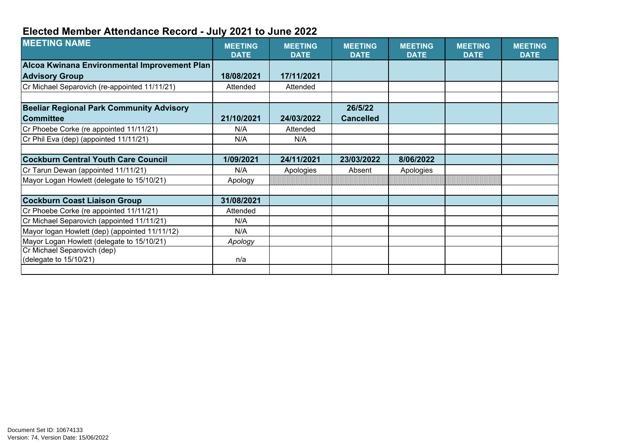## **Elected Member Attendance Record - July 2021 to June 2022**

| <b>MEETING NAME</b>                             | <b>MEETING</b><br><b>DATE</b> | <b>MEETING</b><br><b>DATE</b> | <b>MEETING</b><br><b>DATE</b> | <b>MEETING</b><br><b>DATE</b> | <b>MEETING</b><br><b>DATE</b> | <b>MEETING</b><br><b>DATE</b> |
|-------------------------------------------------|-------------------------------|-------------------------------|-------------------------------|-------------------------------|-------------------------------|-------------------------------|
| Alcoa Kwinana Environmental Improvement Plan    |                               |                               |                               |                               |                               |                               |
| <b>Advisory Group</b>                           | 18/08/2021                    | 17/11/2021                    |                               |                               |                               |                               |
| Cr Michael Separovich (re-appointed 11/11/21)   | Attended                      | Attended                      |                               |                               |                               |                               |
| <b>Beeliar Regional Park Community Advisory</b> |                               |                               | 26/5/22                       |                               |                               |                               |
| <b>Committee</b>                                | 21/10/2021                    | 24/03/2022                    | <b>Cancelled</b>              |                               |                               |                               |
| Cr Phoebe Corke (re appointed 11/11/21)         | N/A                           | Attended                      |                               |                               |                               |                               |
| Cr Phil Eva (dep) (appointed 11/11/21)          | N/A                           | N/A                           |                               |                               |                               |                               |
|                                                 |                               |                               |                               |                               |                               |                               |
| <b>Cockburn Central Youth Care Council</b>      | 1/09/2021                     | 24/11/2021                    | 23/03/2022                    | 8/06/2022                     |                               |                               |
| Cr Tarun Dewan (appointed 11/11/21)             | N/A                           | Apologies                     | Absent                        | Apologies                     |                               |                               |
| Mayor Logan Howlett (delegate to 15/10/21)      | Apology                       |                               |                               |                               |                               |                               |
|                                                 |                               |                               |                               |                               |                               |                               |
| <b>Cockburn Coast Liaison Group</b>             | 31/08/2021                    |                               |                               |                               |                               |                               |
| Cr Phoebe Corke (re appointed 11/11/21)         | Attended                      |                               |                               |                               |                               |                               |
| Cr Michael Separovich (appointed 11/11/21)      | N/A                           |                               |                               |                               |                               |                               |
| Mayor logan Howlett (dep) (appointed 11/11/12)  | N/A                           |                               |                               |                               |                               |                               |
| Mayor Logan Howlett (delegate to 15/10/21)      | Apology                       |                               |                               |                               |                               |                               |
| Cr Michael Separovich (dep)                     |                               |                               |                               |                               |                               |                               |
| (delegate to 15/10/21)                          | n/a                           |                               |                               |                               |                               |                               |
|                                                 |                               |                               |                               |                               |                               |                               |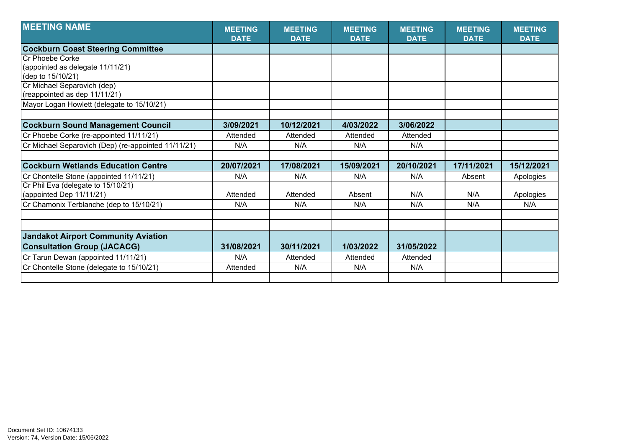| <b>MEETING NAME</b>                                 | <b>MEETING</b><br><b>DATE</b> | <b>MEETING</b><br><b>DATE</b> | <b>MEETING</b><br><b>DATE</b> | <b>MEETING</b><br><b>DATE</b> | <b>MEETING</b><br><b>DATE</b> | <b>MEETING</b><br><b>DATE</b> |
|-----------------------------------------------------|-------------------------------|-------------------------------|-------------------------------|-------------------------------|-------------------------------|-------------------------------|
| <b>Cockburn Coast Steering Committee</b>            |                               |                               |                               |                               |                               |                               |
| Cr Phoebe Corke                                     |                               |                               |                               |                               |                               |                               |
| (appointed as delegate 11/11/21)                    |                               |                               |                               |                               |                               |                               |
| (dep to 15/10/21)                                   |                               |                               |                               |                               |                               |                               |
| Cr Michael Separovich (dep)                         |                               |                               |                               |                               |                               |                               |
| (reappointed as dep 11/11/21)                       |                               |                               |                               |                               |                               |                               |
| Mayor Logan Howlett (delegate to 15/10/21)          |                               |                               |                               |                               |                               |                               |
|                                                     |                               |                               |                               |                               |                               |                               |
| <b>Cockburn Sound Management Council</b>            | 3/09/2021                     | 10/12/2021                    | 4/03/2022                     | 3/06/2022                     |                               |                               |
| Cr Phoebe Corke (re-appointed 11/11/21)             | Attended                      | Attended                      | Attended                      | Attended                      |                               |                               |
| Cr Michael Separovich (Dep) (re-appointed 11/11/21) | N/A                           | N/A                           | N/A                           | N/A                           |                               |                               |
|                                                     |                               |                               |                               |                               |                               |                               |
| <b>Cockburn Wetlands Education Centre</b>           | 20/07/2021                    | 17/08/2021                    | 15/09/2021                    | 20/10/2021                    | 17/11/2021                    | 15/12/2021                    |
| Cr Chontelle Stone (appointed 11/11/21)             | N/A                           | N/A                           | N/A                           | N/A                           | Absent                        | Apologies                     |
| Cr Phil Eva (delegate to 15/10/21)                  |                               |                               |                               |                               |                               |                               |
| (appointed Dep 11/11/21)                            | Attended                      | Attended                      | Absent                        | N/A                           | N/A                           | Apologies                     |
| Cr Chamonix Terblanche (dep to 15/10/21)            | N/A                           | N/A                           | N/A                           | N/A                           | N/A                           | N/A                           |
|                                                     |                               |                               |                               |                               |                               |                               |
|                                                     |                               |                               |                               |                               |                               |                               |
| <b>Jandakot Airport Community Aviation</b>          |                               |                               |                               |                               |                               |                               |
| <b>Consultation Group (JACACG)</b>                  | 31/08/2021                    | 30/11/2021                    | 1/03/2022                     | 31/05/2022                    |                               |                               |
| Cr Tarun Dewan (appointed 11/11/21)                 | N/A                           | Attended                      | Attended                      | Attended                      |                               |                               |
| Cr Chontelle Stone (delegate to 15/10/21)           | Attended                      | N/A                           | N/A                           | N/A                           |                               |                               |
|                                                     |                               |                               |                               |                               |                               |                               |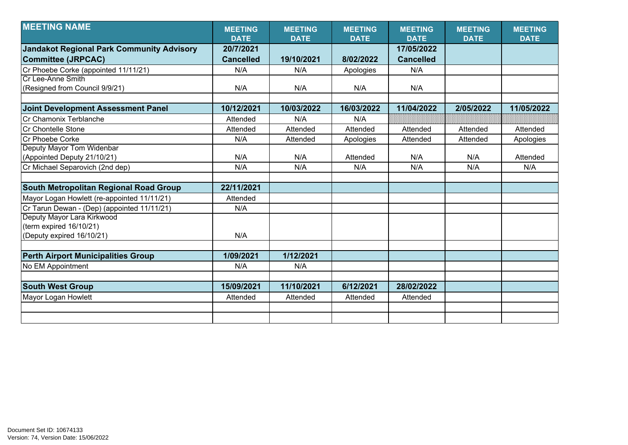| <b>MEETING NAME</b>                              | <b>MEETING</b><br><b>DATE</b> | <b>MEETING</b><br><b>DATE</b> | <b>MEETING</b><br><b>DATE</b> | <b>MEETING</b><br><b>DATE</b> | <b>MEETING</b><br><b>DATE</b> | <b>MEETING</b><br><b>DATE</b> |
|--------------------------------------------------|-------------------------------|-------------------------------|-------------------------------|-------------------------------|-------------------------------|-------------------------------|
|                                                  | 20/7/2021                     |                               |                               | 17/05/2022                    |                               |                               |
| <b>Jandakot Regional Park Community Advisory</b> |                               |                               |                               |                               |                               |                               |
| <b>Committee (JRPCAC)</b>                        | <b>Cancelled</b>              | 19/10/2021                    | 8/02/2022                     | <b>Cancelled</b>              |                               |                               |
| Cr Phoebe Corke (appointed 11/11/21)             | N/A                           | N/A                           | Apologies                     | N/A                           |                               |                               |
| Cr Lee-Anne Smith                                |                               |                               |                               |                               |                               |                               |
| (Resigned from Council 9/9/21)                   | N/A                           | N/A                           | N/A                           | N/A                           |                               |                               |
|                                                  |                               |                               |                               |                               |                               |                               |
| <b>Joint Development Assessment Panel</b>        | 10/12/2021                    | 10/03/2022                    | 16/03/2022                    | 11/04/2022                    | 2/05/2022                     | 11/05/2022                    |
| Cr Chamonix Terblanche                           | Attended                      | N/A                           | N/A                           |                               |                               |                               |
| Cr Chontelle Stone                               | Attended                      | Attended                      | Attended                      | Attended                      | Attended                      | Attended                      |
| Cr Phoebe Corke                                  | N/A                           | Attended                      | Apologies                     | Attended                      | Attended                      | Apologies                     |
| Deputy Mayor Tom Widenbar                        |                               |                               |                               |                               |                               |                               |
| (Appointed Deputy 21/10/21)                      | N/A                           | N/A                           | Attended                      | N/A                           | N/A                           | Attended                      |
| Cr Michael Separovich (2nd dep)                  | N/A                           | N/A                           | N/A                           | N/A                           | N/A                           | N/A                           |
|                                                  |                               |                               |                               |                               |                               |                               |
| South Metropolitan Regional Road Group           | 22/11/2021                    |                               |                               |                               |                               |                               |
| Mayor Logan Howlett (re-appointed 11/11/21)      | Attended                      |                               |                               |                               |                               |                               |
| Cr Tarun Dewan - (Dep) (appointed 11/11/21)      | N/A                           |                               |                               |                               |                               |                               |
| Deputy Mayor Lara Kirkwood                       |                               |                               |                               |                               |                               |                               |
| (term expired 16/10/21)                          |                               |                               |                               |                               |                               |                               |
| (Deputy expired 16/10/21)                        | N/A                           |                               |                               |                               |                               |                               |
|                                                  |                               |                               |                               |                               |                               |                               |
| <b>Perth Airport Municipalities Group</b>        | 1/09/2021                     | 1/12/2021                     |                               |                               |                               |                               |
| No EM Appointment                                | N/A                           | N/A                           |                               |                               |                               |                               |
|                                                  |                               |                               |                               |                               |                               |                               |
| <b>South West Group</b>                          | 15/09/2021                    | 11/10/2021                    | 6/12/2021                     | 28/02/2022                    |                               |                               |
| Mayor Logan Howlett                              | Attended                      | Attended                      | Attended                      | Attended                      |                               |                               |
|                                                  |                               |                               |                               |                               |                               |                               |
|                                                  |                               |                               |                               |                               |                               |                               |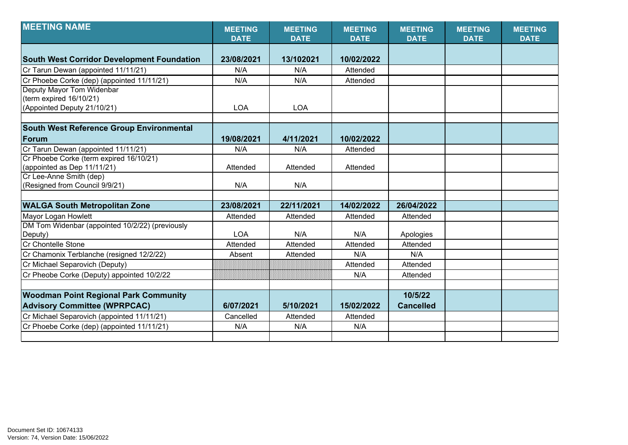| <b>MEETING NAME</b>                               | <b>MEETING</b><br><b>DATE</b> | <b>MEETING</b><br><b>DATE</b> | <b>MEETING</b><br><b>DATE</b> | <b>MEETING</b><br><b>DATE</b> | <b>MEETING</b><br><b>DATE</b> | <b>MEETING</b><br><b>DATE</b> |
|---------------------------------------------------|-------------------------------|-------------------------------|-------------------------------|-------------------------------|-------------------------------|-------------------------------|
|                                                   |                               |                               |                               |                               |                               |                               |
| <b>South West Corridor Development Foundation</b> | 23/08/2021                    | 13/102021                     | 10/02/2022                    |                               |                               |                               |
| Cr Tarun Dewan (appointed 11/11/21)               | N/A                           | N/A                           | Attended                      |                               |                               |                               |
| Cr Phoebe Corke (dep) (appointed 11/11/21)        | N/A                           | N/A                           | Attended                      |                               |                               |                               |
| Deputy Mayor Tom Widenbar                         |                               |                               |                               |                               |                               |                               |
| (term expired 16/10/21)                           |                               |                               |                               |                               |                               |                               |
| (Appointed Deputy 21/10/21)                       | <b>LOA</b>                    | <b>LOA</b>                    |                               |                               |                               |                               |
|                                                   |                               |                               |                               |                               |                               |                               |
| <b>South West Reference Group Environmental</b>   |                               |                               |                               |                               |                               |                               |
| Forum                                             | 19/08/2021                    | 4/11/2021                     | 10/02/2022                    |                               |                               |                               |
| Cr Tarun Dewan (appointed 11/11/21)               | N/A                           | N/A                           | Attended                      |                               |                               |                               |
| Cr Phoebe Corke (term expired 16/10/21)           |                               |                               |                               |                               |                               |                               |
| (appointed as Dep 11/11/21)                       | Attended                      | Attended                      | Attended                      |                               |                               |                               |
| Cr Lee-Anne Smith (dep)                           |                               |                               |                               |                               |                               |                               |
| (Resigned from Council 9/9/21)                    | N/A                           | N/A                           |                               |                               |                               |                               |
|                                                   |                               |                               |                               |                               |                               |                               |
| <b>WALGA South Metropolitan Zone</b>              | 23/08/2021                    | 22/11/2021                    | 14/02/2022                    | 26/04/2022                    |                               |                               |
| Mayor Logan Howlett                               | Attended                      | Attended                      | Attended                      | Attended                      |                               |                               |
| DM Tom Widenbar (appointed 10/2/22) (previously   |                               |                               |                               |                               |                               |                               |
| Deputy)                                           | <b>LOA</b>                    | N/A                           | N/A                           | Apologies                     |                               |                               |
| <b>Cr Chontelle Stone</b>                         | Attended                      | Attended                      | Attended                      | Attended                      |                               |                               |
| Cr Chamonix Terblanche (resigned 12/2/22)         | Absent                        | Attended                      | N/A                           | N/A                           |                               |                               |
| Cr Michael Separovich (Deputy)                    |                               |                               | Attended                      | Attended                      |                               |                               |
| Cr Pheobe Corke (Deputy) appointed 10/2/22        |                               |                               | N/A                           | Attended                      |                               |                               |
|                                                   |                               |                               |                               |                               |                               |                               |
| <b>Woodman Point Regional Park Community</b>      |                               |                               |                               | 10/5/22                       |                               |                               |
| <b>Advisory Committee (WPRPCAC)</b>               | 6/07/2021                     | 5/10/2021                     | 15/02/2022                    | <b>Cancelled</b>              |                               |                               |
| Cr Michael Separovich (appointed 11/11/21)        | Cancelled                     | Attended                      | Attended                      |                               |                               |                               |
| Cr Phoebe Corke (dep) (appointed 11/11/21)        | N/A                           | N/A                           | N/A                           |                               |                               |                               |
|                                                   |                               |                               |                               |                               |                               |                               |